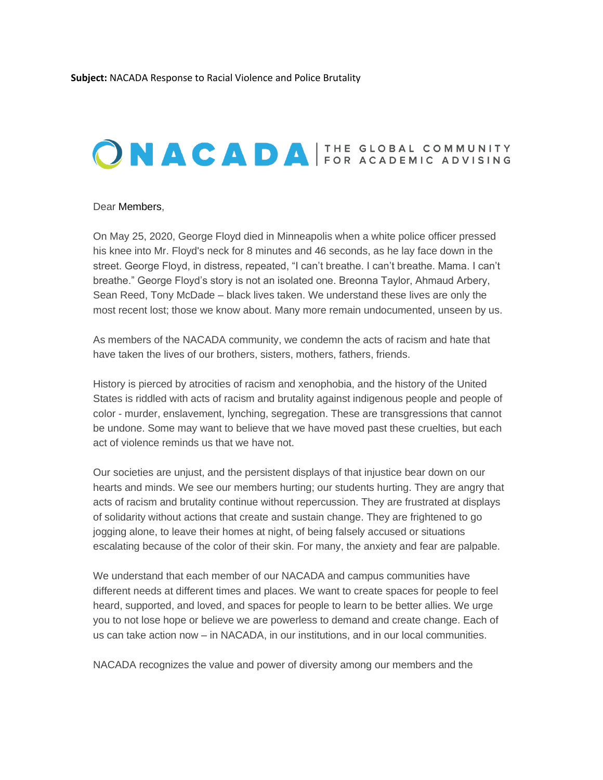## ONACADA FOR ACADEMIC ADVISING

## Dear Members,

On May 25, 2020, George Floyd died in Minneapolis when a white police officer pressed his knee into Mr. Floyd's neck for 8 minutes and 46 seconds, as he lay face down in the street. George Floyd, in distress, repeated, "I can't breathe. I can't breathe. Mama. I can't breathe." George Floyd's story is not an isolated one. Breonna Taylor, Ahmaud Arbery, Sean Reed, Tony McDade – black lives taken. We understand these lives are only the most recent lost; those we know about. Many more remain undocumented, unseen by us.

As members of the NACADA community, we condemn the acts of racism and hate that have taken the lives of our brothers, sisters, mothers, fathers, friends.

History is pierced by atrocities of racism and xenophobia, and the history of the United States is riddled with acts of racism and brutality against indigenous people and people of color - murder, enslavement, lynching, segregation. These are transgressions that cannot be undone. Some may want to believe that we have moved past these cruelties, but each act of violence reminds us that we have not.

Our societies are unjust, and the persistent displays of that injustice bear down on our hearts and minds. We see our members hurting; our students hurting. They are angry that acts of racism and brutality continue without repercussion. They are frustrated at displays of solidarity without actions that create and sustain change. They are frightened to go jogging alone, to leave their homes at night, of being falsely accused or situations escalating because of the color of their skin. For many, the anxiety and fear are palpable.

We understand that each member of our NACADA and campus communities have different needs at different times and places. We want to create spaces for people to feel heard, supported, and loved, and spaces for people to learn to be better allies. We urge you to not lose hope or believe we are powerless to demand and create change. Each of us can take action now – in NACADA, in our institutions, and in our local communities.

NACADA recognizes the value and power of diversity among our members and the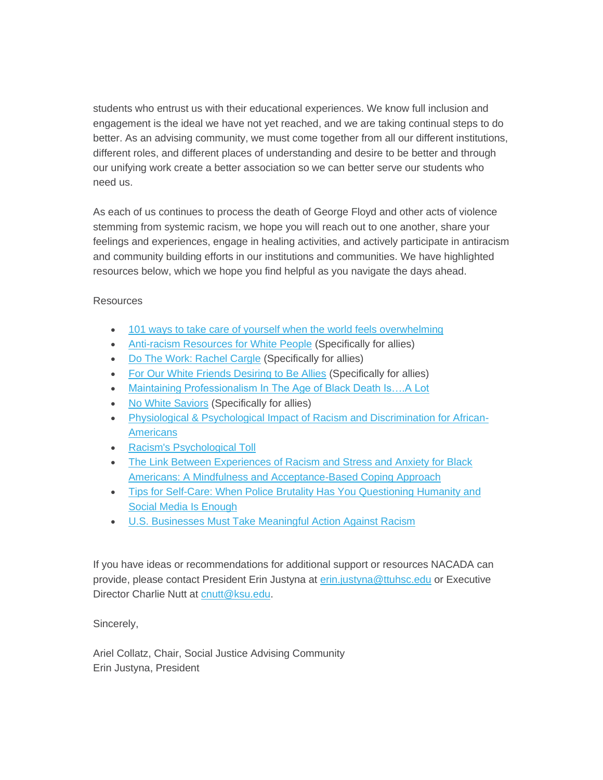students who entrust us with their educational experiences. We know full inclusion and engagement is the ideal we have not yet reached, and we are taking continual steps to do better. As an advising community, we must come together from all our different institutions, different roles, and different places of understanding and desire to be better and through our unifying work create a better association so we can better serve our students who need us.

As each of us continues to process the death of George Floyd and other acts of violence stemming from systemic racism, we hope you will reach out to one another, share your feelings and experiences, engage in healing activities, and actively participate in antiracism and community building efforts in our institutions and communities. We have highlighted resources below, which we hope you find helpful as you navigate the days ahead.

## Resources

- [101 ways to take care of yourself when the world feels overwhelming](https://elink.clickdimensions.com/c/6/?T=MjQxOTk1MTY%3AMDItYjIwMTU0LTE5YjY1Y2YwNGE1ZjRlOTliODI0ZDM4MjNmNjc4ZGQw%3AcGdvZUBrc3UuZWR1%3AY29udGFjdC1iMTJhNTk2YjkwMzhlMjExOGEyNDAwNTA1NjgzMDAwZC01MTBkYTE1ZmJmMzM0ZDBiYWMyNTU0MmQzOGZkN2UyNA%3AZmFsc2U%3AMA%3A%3AaHR0cHM6Ly93d3cudXB3b3J0aHkuY29tLzEwMS1zZWxmLWNhcmUtc3VnZ2VzdGlvbnMtZm9yLXdoZW4taXQtYWxsLWZlZWxzLWxpa2UtdG9vLW11Y2g_X2NsZGVlPWNHZHZaVUJyYzNVdVpXUjEmcmVjaXBpZW50aWQ9Y29udGFjdC1iMTJhNTk2YjkwMzhlMjExOGEyNDAwNTA1NjgzMDAwZC01MTBkYTE1ZmJmMzM0ZDBiYWMyNTU0MmQzOGZkN2UyNCZlc2lkPTBkNTQxN2M0LWU0YTQtZWExMS04MGUzLTAwMGQzYTBlZTRlZA&K=o8s1jd6Ue1txbGI87dIYjA)
- **[Anti-racism Resources for White People](https://elink.clickdimensions.com/c/6/?T=MjQxOTk1MTY%3AMDItYjIwMTU0LTE5YjY1Y2YwNGE1ZjRlOTliODI0ZDM4MjNmNjc4ZGQw%3AcGdvZUBrc3UuZWR1%3AY29udGFjdC1iMTJhNTk2YjkwMzhlMjExOGEyNDAwNTA1NjgzMDAwZC01MTBkYTE1ZmJmMzM0ZDBiYWMyNTU0MmQzOGZkN2UyNA%3AZmFsc2U%3AMQ%3A%3AaHR0cHM6Ly9kb2NzLmdvb2dsZS5jb20vZG9jdW1lbnQvZC8xQlJsRjJfemhOZTg2U0dnSGE2LVZsQk8tUWdpcklUd0NUdWdTZktpZTVGcy9tb2JpbGViYXNpYz9fY2xkZWU9Y0dkdlpVQnJjM1V1WldSMSZyZWNpcGllbnRpZD1jb250YWN0LWIxMmE1OTZiOTAzOGUyMTE4YTI0MDA1MDU2ODMwMDBkLTUxMGRhMTVmYmYzMzRkMGJhYzI1NTQyZDM4ZmQ3ZTI0JmVzaWQ9MGQ1NDE3YzQtZTRhNC1lYTExLTgwZTMtMDAwZDNhMGVlNGVk&K=VacEm2ueBPwlSbiNxsk_Cg) (Specifically for allies)**
- [Do The Work: Rachel Cargle](https://elink.clickdimensions.com/c/6/?T=MjQxOTk1MTY%3AMDItYjIwMTU0LTE5YjY1Y2YwNGE1ZjRlOTliODI0ZDM4MjNmNjc4ZGQw%3AcGdvZUBrc3UuZWR1%3AY29udGFjdC1iMTJhNTk2YjkwMzhlMjExOGEyNDAwNTA1NjgzMDAwZC01MTBkYTE1ZmJmMzM0ZDBiYWMyNTU0MmQzOGZkN2UyNA%3AZmFsc2U%3AMg%3A%3AaHR0cHM6Ly93d3cuY3R6bndlbGwub3JnL2N0em5wb2RjYXN0L3JhY2hlbC1jYXJnbGU_X2NsZGVlPWNHZHZaVUJyYzNVdVpXUjEmcmVjaXBpZW50aWQ9Y29udGFjdC1iMTJhNTk2YjkwMzhlMjExOGEyNDAwNTA1NjgzMDAwZC01MTBkYTE1ZmJmMzM0ZDBiYWMyNTU0MmQzOGZkN2UyNCZlc2lkPTBkNTQxN2M0LWU0YTQtZWExMS04MGUzLTAwMGQzYTBlZTRlZA&K=7E0gDjf_FTUQbTiZDuhCbw) (Specifically for allies)
- [For Our White Friends Desiring to Be Allies](https://elink.clickdimensions.com/c/6/?T=MjQxOTk1MTY%3AMDItYjIwMTU0LTE5YjY1Y2YwNGE1ZjRlOTliODI0ZDM4MjNmNjc4ZGQw%3AcGdvZUBrc3UuZWR1%3AY29udGFjdC1iMTJhNTk2YjkwMzhlMjExOGEyNDAwNTA1NjgzMDAwZC01MTBkYTE1ZmJmMzM0ZDBiYWMyNTU0MmQzOGZkN2UyNA%3AZmFsc2U%3AMw%3A%3AaHR0cHM6Ly9zb2pvLm5ldC9hcnRpY2xlcy9vdXItd2hpdGUtZnJpZW5kcy1kZXNpcmluZy1iZS1hbGxpZXM_X2NsZGVlPWNHZHZaVUJyYzNVdVpXUjEmcmVjaXBpZW50aWQ9Y29udGFjdC1iMTJhNTk2YjkwMzhlMjExOGEyNDAwNTA1NjgzMDAwZC01MTBkYTE1ZmJmMzM0ZDBiYWMyNTU0MmQzOGZkN2UyNCZlc2lkPTBkNTQxN2M0LWU0YTQtZWExMS04MGUzLTAwMGQzYTBlZTRlZA&K=fZEMFiS34RjRlHxBLDdoHQ) (Specifically for allies)
- Maintaining Professionalism In The Age of Black Death Is....A Lot
- [No White Saviors](https://elink.clickdimensions.com/c/6/?T=MjQxOTk1MTY%3AMDItYjIwMTU0LTE5YjY1Y2YwNGE1ZjRlOTliODI0ZDM4MjNmNjc4ZGQw%3AcGdvZUBrc3UuZWR1%3AY29udGFjdC1iMTJhNTk2YjkwMzhlMjExOGEyNDAwNTA1NjgzMDAwZC01MTBkYTE1ZmJmMzM0ZDBiYWMyNTU0MmQzOGZkN2UyNA%3AZmFsc2U%3ANQ%3A%3AaHR0cHM6Ly93d3cuaW5zdGFncmFtLmNvbS9ub3doaXRlc2F2aW9ycy8_X2NsZGVlPWNHZHZaVUJyYzNVdVpXUjEmcmVjaXBpZW50aWQ9Y29udGFjdC1iMTJhNTk2YjkwMzhlMjExOGEyNDAwNTA1NjgzMDAwZC01MTBkYTE1ZmJmMzM0ZDBiYWMyNTU0MmQzOGZkN2UyNCZlc2lkPTBkNTQxN2M0LWU0YTQtZWExMS04MGUzLTAwMGQzYTBlZTRlZA&K=uFjqsfKJaejQQ0x2dVs5iQ) (Specifically for allies)
- [Physiological & Psychological Impact of Racism and Discrimination for African-](https://elink.clickdimensions.com/c/6/?T=MjQxOTk1MTY%3AMDItYjIwMTU0LTE5YjY1Y2YwNGE1ZjRlOTliODI0ZDM4MjNmNjc4ZGQw%3AcGdvZUBrc3UuZWR1%3AY29udGFjdC1iMTJhNTk2YjkwMzhlMjExOGEyNDAwNTA1NjgzMDAwZC01MTBkYTE1ZmJmMzM0ZDBiYWMyNTU0MmQzOGZkN2UyNA%3AZmFsc2U%3ANg%3A%3AaHR0cHM6Ly93d3cuYXBhLm9yZy9waS9vZW1hL3Jlc291cmNlcy9ldGhuaWNpdHktaGVhbHRoL3JhY2lzbS1zdHJlc3M_X2NsZGVlPWNHZHZaVUJyYzNVdVpXUjEmcmVjaXBpZW50aWQ9Y29udGFjdC1iMTJhNTk2YjkwMzhlMjExOGEyNDAwNTA1NjgzMDAwZC01MTBkYTE1ZmJmMzM0ZDBiYWMyNTU0MmQzOGZkN2UyNCZlc2lkPTBkNTQxN2M0LWU0YTQtZWExMS04MGUzLTAwMGQzYTBlZTRlZA&K=MNk8N4yeRBQjp7Pk1Blfeg)**[Americans](https://elink.clickdimensions.com/c/6/?T=MjQxOTk1MTY%3AMDItYjIwMTU0LTE5YjY1Y2YwNGE1ZjRlOTliODI0ZDM4MjNmNjc4ZGQw%3AcGdvZUBrc3UuZWR1%3AY29udGFjdC1iMTJhNTk2YjkwMzhlMjExOGEyNDAwNTA1NjgzMDAwZC01MTBkYTE1ZmJmMzM0ZDBiYWMyNTU0MmQzOGZkN2UyNA%3AZmFsc2U%3ANg%3A%3AaHR0cHM6Ly93d3cuYXBhLm9yZy9waS9vZW1hL3Jlc291cmNlcy9ldGhuaWNpdHktaGVhbHRoL3JhY2lzbS1zdHJlc3M_X2NsZGVlPWNHZHZaVUJyYzNVdVpXUjEmcmVjaXBpZW50aWQ9Y29udGFjdC1iMTJhNTk2YjkwMzhlMjExOGEyNDAwNTA1NjgzMDAwZC01MTBkYTE1ZmJmMzM0ZDBiYWMyNTU0MmQzOGZkN2UyNCZlc2lkPTBkNTQxN2M0LWU0YTQtZWExMS04MGUzLTAwMGQzYTBlZTRlZA&K=MNk8N4yeRBQjp7Pk1Blfeg)**
- [Racism's Psychological Toll](https://elink.clickdimensions.com/c/6/?T=MjQxOTk1MTY%3AMDItYjIwMTU0LTE5YjY1Y2YwNGE1ZjRlOTliODI0ZDM4MjNmNjc4ZGQw%3AcGdvZUBrc3UuZWR1%3AY29udGFjdC1iMTJhNTk2YjkwMzhlMjExOGEyNDAwNTA1NjgzMDAwZC01MTBkYTE1ZmJmMzM0ZDBiYWMyNTU0MmQzOGZkN2UyNA%3AZmFsc2U%3ANw%3A%3AaHR0cHM6Ly93d3cubnl0aW1lcy5jb20vMjAxNS8wNi8yNC9tYWdhemluZS9yYWNpc21zLXBzeWNob2xvZ2ljYWwtdG9sbC5odG1sP19jbGRlZT1jR2R2WlVCcmMzVXVaV1IxJnJlY2lwaWVudGlkPWNvbnRhY3QtYjEyYTU5NmI5MDM4ZTIxMThhMjQwMDUwNTY4MzAwMGQtNTEwZGExNWZiZjMzNGQwYmFjMjU1NDJkMzhmZDdlMjQmZXNpZD0wZDU0MTdjNC1lNGE0LWVhMTEtODBlMy0wMDBkM2EwZWU0ZWQ&K=7GpeEFWPTKGPYeS9O-2iMA)
- [The Link Between Experiences of Racism and Stress and Anxiety for Black](https://elink.clickdimensions.com/c/6/?T=MjQxOTk1MTY%3AMDItYjIwMTU0LTE5YjY1Y2YwNGE1ZjRlOTliODI0ZDM4MjNmNjc4ZGQw%3AcGdvZUBrc3UuZWR1%3AY29udGFjdC1iMTJhNTk2YjkwMzhlMjExOGEyNDAwNTA1NjgzMDAwZC01MTBkYTE1ZmJmMzM0ZDBiYWMyNTU0MmQzOGZkN2UyNA%3AZmFsc2U%3AOA%3A%3AaHR0cHM6Ly93d3cuYW54aWV0eS5vcmcvYmxhY2stYW1lcmljYW5zLWhvdy10by1jb3BlLXdpdGgtYW54aWV0eS1hbmQtcmFjaXNtP19jbGRlZT1jR2R2WlVCcmMzVXVaV1IxJnJlY2lwaWVudGlkPWNvbnRhY3QtYjEyYTU5NmI5MDM4ZTIxMThhMjQwMDUwNTY4MzAwMGQtNTEwZGExNWZiZjMzNGQwYmFjMjU1NDJkMzhmZDdlMjQmZXNpZD0wZDU0MTdjNC1lNGE0LWVhMTEtODBlMy0wMDBkM2EwZWU0ZWQ&K=Jfp4nSlTAox1gyV0Tblgrw)  [Americans: A Mindfulness and Acceptance-Based Coping Approach](https://elink.clickdimensions.com/c/6/?T=MjQxOTk1MTY%3AMDItYjIwMTU0LTE5YjY1Y2YwNGE1ZjRlOTliODI0ZDM4MjNmNjc4ZGQw%3AcGdvZUBrc3UuZWR1%3AY29udGFjdC1iMTJhNTk2YjkwMzhlMjExOGEyNDAwNTA1NjgzMDAwZC01MTBkYTE1ZmJmMzM0ZDBiYWMyNTU0MmQzOGZkN2UyNA%3AZmFsc2U%3AOA%3A%3AaHR0cHM6Ly93d3cuYW54aWV0eS5vcmcvYmxhY2stYW1lcmljYW5zLWhvdy10by1jb3BlLXdpdGgtYW54aWV0eS1hbmQtcmFjaXNtP19jbGRlZT1jR2R2WlVCcmMzVXVaV1IxJnJlY2lwaWVudGlkPWNvbnRhY3QtYjEyYTU5NmI5MDM4ZTIxMThhMjQwMDUwNTY4MzAwMGQtNTEwZGExNWZiZjMzNGQwYmFjMjU1NDJkMzhmZDdlMjQmZXNpZD0wZDU0MTdjNC1lNGE0LWVhMTEtODBlMy0wMDBkM2EwZWU0ZWQ&K=Jfp4nSlTAox1gyV0Tblgrw)
- Tips for Self-Care: When Police Brutality Has You Questioning Humanity and [Social Media Is Enough](https://elink.clickdimensions.com/c/6/?T=MjQxOTk1MTY%3AMDItYjIwMTU0LTE5YjY1Y2YwNGE1ZjRlOTliODI0ZDM4MjNmNjc4ZGQw%3AcGdvZUBrc3UuZWR1%3AY29udGFjdC1iMTJhNTk2YjkwMzhlMjExOGEyNDAwNTA1NjgzMDAwZC01MTBkYTE1ZmJmMzM0ZDBiYWMyNTU0MmQzOGZkN2UyNA%3AZmFsc2U%3AOQ%3A%3AaHR0cHM6Ly93d3cudGhlcm9vdC5jb20vdGlwcy1mb3Itc2VsZi1jYXJlLXdoZW4tcG9saWNlLWJydXRhbGl0eS1oYXMteW91LXF1ZXN0LTE3OTA4NTU5NTI_X2NsZGVlPWNHZHZaVUJyYzNVdVpXUjEmcmVjaXBpZW50aWQ9Y29udGFjdC1iMTJhNTk2YjkwMzhlMjExOGEyNDAwNTA1NjgzMDAwZC01MTBkYTE1ZmJmMzM0ZDBiYWMyNTU0MmQzOGZkN2UyNCZlc2lkPTBkNTQxN2M0LWU0YTQtZWExMS04MGUzLTAwMGQzYTBlZTRlZA&K=OUIxzt8b4Te-np4PhDMSuw)
- [U.S. Businesses Must Take Meaningful Action Against Racism](https://elink.clickdimensions.com/c/6/?T=MjQxOTk1MTY%3AMDItYjIwMTU0LTE5YjY1Y2YwNGE1ZjRlOTliODI0ZDM4MjNmNjc4ZGQw%3AcGdvZUBrc3UuZWR1%3AY29udGFjdC1iMTJhNTk2YjkwMzhlMjExOGEyNDAwNTA1NjgzMDAwZC01MTBkYTE1ZmJmMzM0ZDBiYWMyNTU0MmQzOGZkN2UyNA%3AZmFsc2U%3AMTA%3A%3AaHR0cHM6Ly9oYnIub3JnLzIwMjAvMDYvdS1zLWJ1c2luZXNzZXMtbXVzdC10YWtlLW1lYW5pbmdmdWwtYWN0aW9uLWFnYWluc3QtcmFjaXNtP19jbGRlZT1jR2R2WlVCcmMzVXVaV1IxJnJlY2lwaWVudGlkPWNvbnRhY3QtYjEyYTU5NmI5MDM4ZTIxMThhMjQwMDUwNTY4MzAwMGQtNTEwZGExNWZiZjMzNGQwYmFjMjU1NDJkMzhmZDdlMjQmZXNpZD0wZDU0MTdjNC1lNGE0LWVhMTEtODBlMy0wMDBkM2EwZWU0ZWQ&K=TvD8wPlXg2uHo9gbWmzRyQ)

If you have ideas or recommendations for additional support or resources NACADA can provide, please contact President Erin Justyna at [erin.justyna@ttuhsc.edu](mailto:erin.justyna@ttuhsc.edu) or Executive Director Charlie Nutt at [cnutt@ksu.edu.](mailto:cnutt@ksu.edu)

Sincerely,

Ariel Collatz, Chair, Social Justice Advising Community Erin Justyna, President